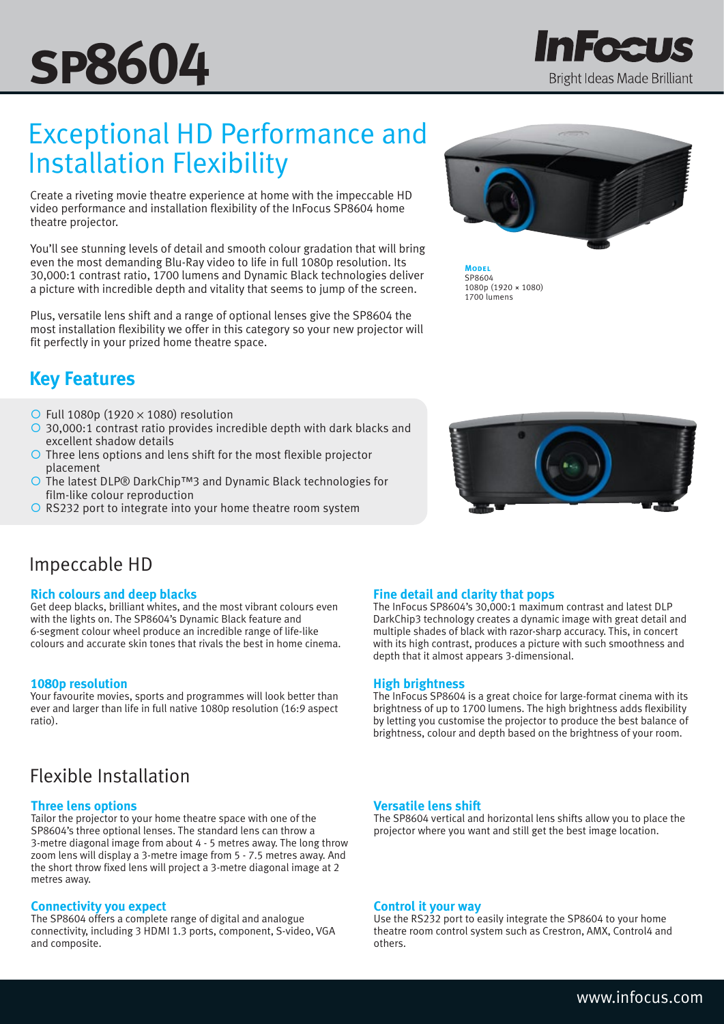# **sp8604**

# Exceptional HD Performance and Installation Flexibility

Create a riveting movie theatre experience at home with the impeccable HD video performance and installation flexibility of the InFocus SP8604 home theatre projector.

You'll see stunning levels of detail and smooth colour gradation that will bring even the most demanding Blu-Ray video to life in full 1080p resolution. Its 30,000:1 contrast ratio, 1700 lumens and Dynamic Black technologies deliver a picture with incredible depth and vitality that seems to jump of the screen.

Plus, versatile lens shift and a range of optional lenses give the SP8604 the most installation flexibility we offer in this category so your new projector will fit perfectly in your prized home theatre space.

## **Key Features**

- $\circ$  Full 1080p (1920  $\times$  1080) resolution
- 30,000:1 contrast ratio provides incredible depth with dark blacks and excellent shadow details
- O Three lens options and lens shift for the most flexible projector placement
- The latest DLP® DarkChip™3 and Dynamic Black technologies for film-like colour reproduction
- $\overline{O}$  RS232 port to integrate into your home theatre room system



Fee 1

Bright Ideas Made Brilliant

**Model** SP8604 1080p (1920 × 1080) 1700 lumens



### Impeccable HD

#### **Rich colours and deep blacks**

Get deep blacks, brilliant whites, and the most vibrant colours even with the lights on. The SP8604's Dynamic Black feature and 6-segment colour wheel produce an incredible range of life-like colours and accurate skin tones that rivals the best in home cinema.

#### **1080p resolution**

Your favourite movies, sports and programmes will look better than ever and larger than life in full native 1080p resolution (16:9 aspect ratio).

## Flexible Installation

#### **Three lens options**

Tailor the projector to your home theatre space with one of the SP8604's three optional lenses. The standard lens can throw a 3-metre diagonal image from about 4 - 5 metres away. The long throw zoom lens will display a 3-metre image from 5 - 7.5 metres away. And the short throw fixed lens will project a 3-metre diagonal image at 2 metres away.

#### **Connectivity you expect**

The SP8604 offers a complete range of digital and analogue connectivity, including 3 HDMI 1.3 ports, component, S-video, VGA and composite.

#### **Fine detail and clarity that pops**

The InFocus SP8604's 30,000:1 maximum contrast and latest DLP DarkChip3 technology creates a dynamic image with great detail and multiple shades of black with razor-sharp accuracy. This, in concert with its high contrast, produces a picture with such smoothness and depth that it almost appears 3-dimensional.

#### **High brightness**

The InFocus SP8604 is a great choice for large-format cinema with its brightness of up to 1700 lumens. The high brightness adds flexibility by letting you customise the projector to produce the best balance of brightness, colour and depth based on the brightness of your room.

#### **Versatile lens shift**

The SP8604 vertical and horizontal lens shifts allow you to place the projector where you want and still get the best image location.

#### **Control it your way**

Use the RS232 port to easily integrate the SP8604 to your home theatre room control system such as Crestron, AMX, Control4 and others.